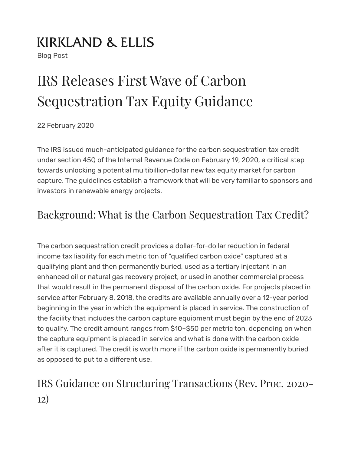## **KIRKLAND & ELLIS**

Blog Post

# IRS Releases First Wave of Carbon Sequestration Tax Equity Guidance

22 February 2020

The IRS issued much-anticipated guidance for the carbon sequestration tax credit under section 45Q of the Internal Revenue Code on February 19, 2020, a critical step towards unlocking a potential multibillion-dollar new tax equity market for carbon capture. The guidelines establish a framework that will be very familiar to sponsors and investors in renewable energy projects.

#### Background: What is the Carbon Sequestration Tax Credit?

The carbon sequestration credit provides a dollar-for-dollar reduction in federal income tax liability for each metric ton of "qualified carbon oxide" captured at a qualifying plant and then permanently buried, used as a tertiary injectant in an enhanced oil or natural gas recovery project, or used in another commercial process that would result in the permanent disposal of the carbon oxide. For projects placed in service after February 8, 2018, the credits are available annually over a 12-year period beginning in the year in which the equipment is placed in service. The construction of the facility that includes the carbon capture equipment must begin by the end of 2023 to qualify. The credit amount ranges from \$10–\$50 per metric ton, depending on when the capture equipment is placed in service and what is done with the carbon oxide after it is captured. The credit is worth more if the carbon oxide is permanently buried as opposed to put to a different use.

### IRS Guidance on Structuring Transactions (Rev. Proc. 2020- 12)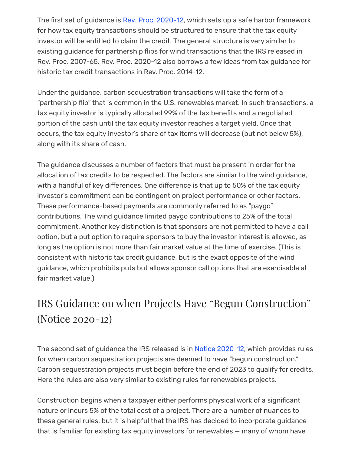The first set of guidance is [Rev. Proc. 2020-12](https://www.irs.gov/pub/irs-drop/rp-20-12.pdf), which sets up a safe harbor framework for how tax equity transactions should be structured to ensure that the tax equity investor will be entitled to claim the credit. The general structure is very similar to existing guidance for partnership flips for wind transactions that the IRS released in Rev. Proc. 2007-65. Rev. Proc. 2020-12 also borrows a few ideas from tax guidance for historic tax credit transactions in Rev. Proc. 2014-12.

Under the guidance, carbon sequestration transactions will take the form of a "partnership flip" that is common in the U.S. renewables market. In such transactions, a tax equity investor is typically allocated 99% of the tax benefits and a negotiated portion of the cash until the tax equity investor reaches a target yield. Once that occurs, the tax equity investor's share of tax items will decrease (but not below 5%), along with its share of cash.

The guidance discusses a number of factors that must be present in order for the allocation of tax credits to be respected. The factors are similar to the wind guidance, with a handful of key differences. One difference is that up to 50% of the tax equity investor's commitment can be contingent on project performance or other factors. These performance-based payments are commonly referred to as "paygo" contributions. The wind guidance limited paygo contributions to 25% of the total commitment. Another key distinction is that sponsors are not permitted to have a call option, but a put option to require sponsors to buy the investor interest is allowed, as long as the option is not more than fair market value at the time of exercise. (This is consistent with historic tax credit guidance, but is the exact opposite of the wind guidance, which prohibits puts but allows sponsor call options that are exercisable at fair market value.)

#### IRS Guidance on when Projects Have "Begun Construction" (Notice 2020-12)

The second set of guidance the IRS released is in [Notice 2020-12,](https://www.irs.gov/pub/irs-drop/n-20-12.pdf) which provides rules for when carbon sequestration projects are deemed to have "begun construction." Carbon sequestration projects must begin before the end of 2023 to qualify for credits. Here the rules are also very similar to existing rules for renewables projects.

Construction begins when a taxpayer either performs physical work of a significant nature or incurs 5% of the total cost of a project. There are a number of nuances to these general rules, but it is helpful that the IRS has decided to incorporate guidance that is familiar for existing tax equity investors for renewables — many of whom have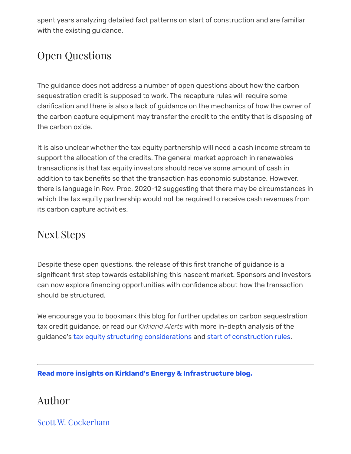spent years analyzing detailed fact patterns on start of construction and are familiar with the existing guidance.

#### Open Questions

The guidance does not address a number of open questions about how the carbon sequestration credit is supposed to work. The recapture rules will require some clarification and there is also a lack of guidance on the mechanics of how the owner of the carbon capture equipment may transfer the credit to the entity that is disposing of the carbon oxide.

It is also unclear whether the tax equity partnership will need a cash income stream to support the allocation of the credits. The general market approach in renewables transactions is that tax equity investors should receive some amount of cash in addition to tax benefits so that the transaction has economic substance. However, there is language in Rev. Proc. 2020-12 suggesting that there may be circumstances in which the tax equity partnership would not be required to receive cash revenues from its carbon capture activities.

#### Next Steps

Despite these open questions, the release of this first tranche of guidance is a significant first step towards establishing this nascent market. Sponsors and investors can now explore financing opportunities with confidence about how the transaction should be structured.

We encourage you to bookmark this blog for further updates on carbon sequestration tax credit guidance, or read our *Kirkland Alerts* with more in-depth analysis of the guidance's [tax equity structuring considerations](https://www.kirkland.com/publications/kirkland-alert/2020/03/irs-tax-equity-structuring-guidance-carbon-capture) and [start of construction rules.](https://www.kirkland.com/publications/kirkland-alert/2020/03/irs-construction-rules-for-carbon-capture)

**[Read more insights on Kirkland's Energy & Infrastructure blog.](https://www.kirkland.com/content/energy-and-infrastructure-blog)**

#### Author

[Scott W. Cockerham](https://www.kirkland.com/lawyers/c/cockerham-scott-w)